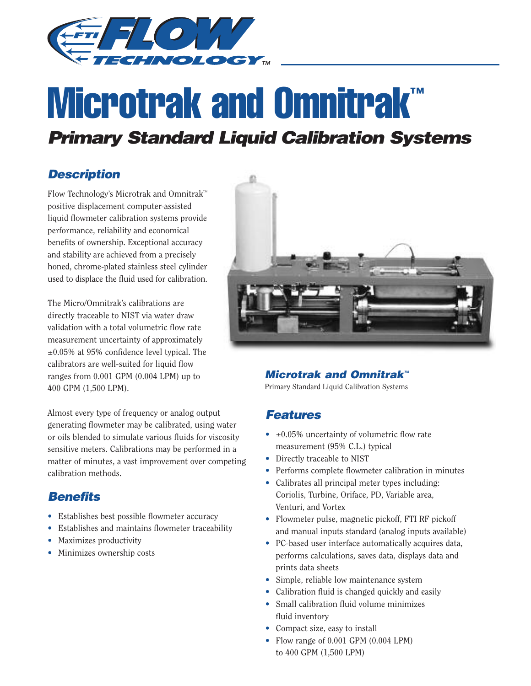

# **Microtrak and Omnitrak™**

## *Primary Standard Liquid Calibration Systems*

#### *Description*

Flow Technology's Microtrak and Omnitrak™ positive displacement computer-assisted liquid flowmeter calibration systems provide performance, reliability and economical benefits of ownership. Exceptional accuracy and stability are achieved from a precisely honed, chrome-plated stainless steel cylinder used to displace the fluid used for calibration.

The Micro/Omnitrak's calibrations are directly traceable to NIST via water draw validation with a total volumetric flow rate measurement uncertainty of approximately ±0.05% at 95% confidence level typical. The calibrators are well-suited for liquid flow ranges from 0.001 GPM (0.004 LPM) up to 400 GPM (1,500 LPM).

Almost every type of frequency or analog output generating flowmeter may be calibrated, using water or oils blended to simulate various fluids for viscosity sensitive meters. Calibrations may be performed in a matter of minutes, a vast improvement over competing calibration methods.

### *Benefits*

- Establishes best possible flowmeter accuracy
- Establishes and maintains flowmeter traceability
- Maximizes productivity
- Minimizes ownership costs



#### *Microtrak and Omnitrak™*

Primary Standard Liquid Calibration Systems

#### *Features*

- $\bullet$   $\pm 0.05\%$  uncertainty of volumetric flow rate measurement (95% C.L.) typical
- Directly traceable to NIST
- Performs complete flowmeter calibration in minutes
- Calibrates all principal meter types including: Coriolis, Turbine, Oriface, PD, Variable area, Venturi, and Vortex
- Flowmeter pulse, magnetic pickoff, FTI RF pickoff and manual inputs standard (analog inputs available)
- PC-based user interface automatically acquires data, performs calculations, saves data, displays data and prints data sheets
- Simple, reliable low maintenance system
- Calibration fluid is changed quickly and easily
- Small calibration fluid volume minimizes fluid inventory
- Compact size, easy to install
- Flow range of 0.001 GPM (0.004 LPM) to 400 GPM (1,500 LPM)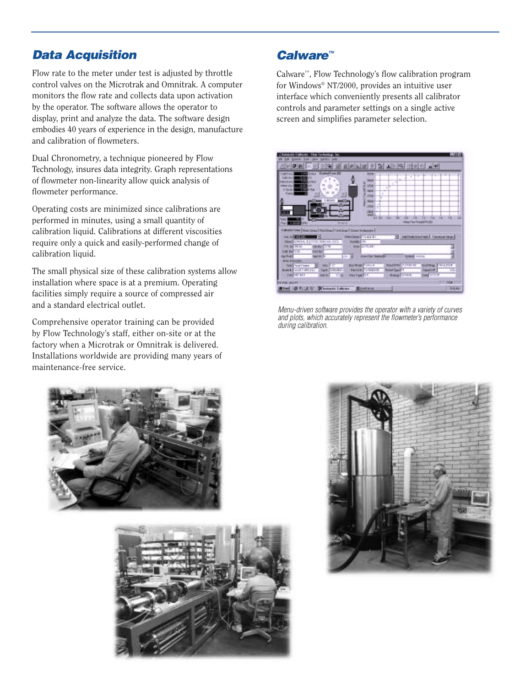#### *Data Acquisition*

Flow rate to the meter under test is adjusted by throttle control valves on the Microtrak and Omnitrak. A computer monitors the flow rate and collects data upon activation by the operator. The software allows the operator to display, print and analyze the data. The software design embodies 40 years of experience in the design, manufacture and calibration of flowmeters.

Dual Chronometry, a technique pioneered by Flow Technology, insures data integrity. Graph representations of flowmeter non-linearity allow quick analysis of flowmeter performance.

Operating costs are minimized since calibrations are performed in minutes, using a small quantity of calibration liquid. Calibrations at different viscosities require only a quick and easily-performed change of calibration liquid.

The small physical size of these calibration systems allow installation where space is at a premium. Operating facilities simply require a source of compressed air and a standard electrical outlet.

Comprehensive operator training can be provided by Flow Technology's staff, either on-site or at the factory when a Microtrak or Omnitrak is delivered. Installations worldwide are providing many years of maintenance-free service.





#### *Calware™*

Calware™, Flow Technology's flow calibration program for Windows® NT/2000, provides an intuitive user interface which conveniently presents all calibrator controls and parameter settings on a single active screen and simplifies parameter selection.



*Menu-driven software provides the operator with a variety of curves and plots, which accurately represent the flowmeter's performance during calibration.*

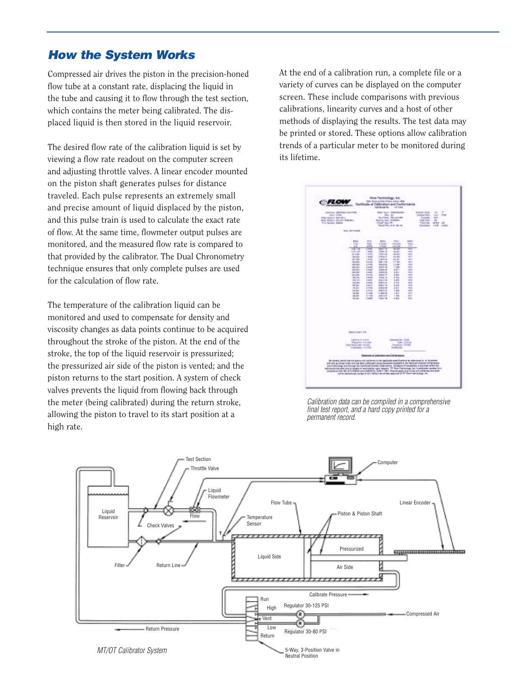#### *How the System Works*

Compressed air drives the piston in the precision-honed flow tube at a constant rate, displacing the liquid in the tube and causing it to flow through the test section, which contains the meter being calibrated. The displaced liquid is then stored in the liquid reservoir.

The desired flow rate of the calibration liquid is set by viewing a flow rate readout on the computer screen and adjusting throttle valves. A linear encoder mounted on the piston shaft generates pulses for distance traveled. Each pulse represents an extremely small and precise amount of liquid displaced by the piston, and this pulse train is used to calculate the exact rate of flow. At the same time, flowmeter output pulses are monitored, and the measured flow rate is compared to that provided by the calibrator. The Dual Chronometry technique ensures that only complete pulses are used for the calculation of flow rate.

The temperature of the calibration liquid can be monitored and used to compensate for density and viscosity changes as data points continue to be acquired throughout the stroke of the piston. At the end of the stroke, the top of the liquid reservoir is pressurized; the pressurized air side of the piston is vented; and the piston returns to the start position. A system of check valves prevents the liquid from flowing back through the meter (being calibrated) during the return stroke, allowing the piston to travel to its start position at a high rate.

At the end of a calibration run, a complete file or a variety of curves can be displayed on the computer screen. These include comparisons with previous calibrations, linearity curves and a host of other methods of displaying the results. The test data may be printed or stored. These options allow calibration trends of a particular meter to be monitored during its lifetime.



*Calibration data can be compiled in a comprehensive final test report, and a hard copy printed for a permanent record.*